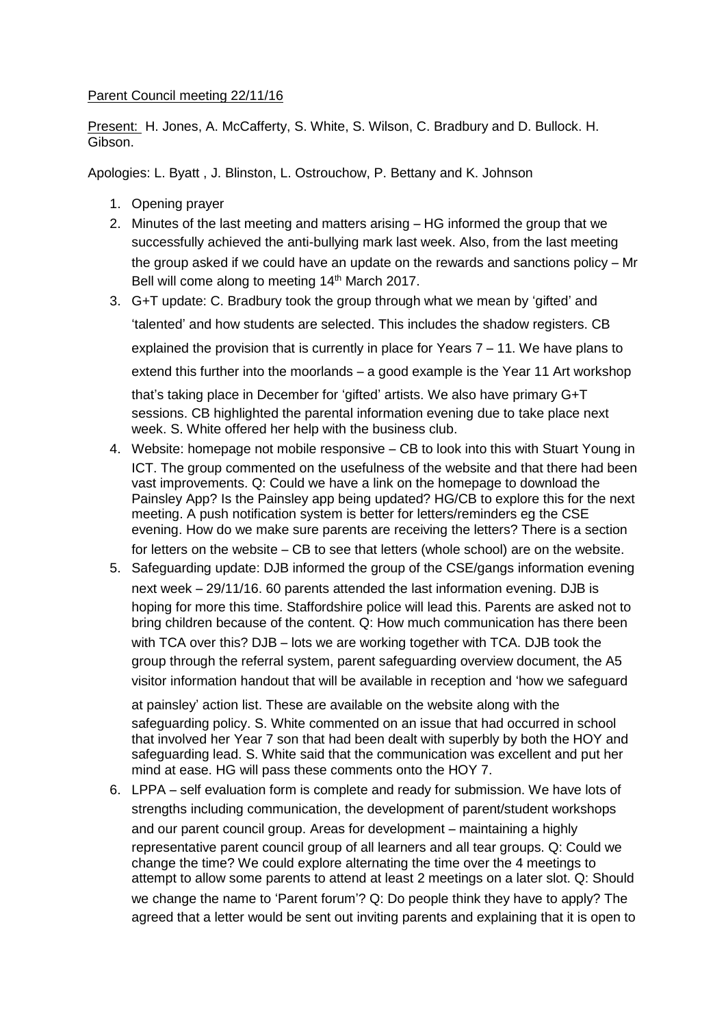## Parent Council meeting 22/11/16

Present: H. Jones, A. McCafferty, S. White, S. Wilson, C. Bradbury and D. Bullock. H. Gibson.

Apologies: L. Byatt , J. Blinston, L. Ostrouchow, P. Bettany and K. Johnson

- 1. Opening prayer
- 2. Minutes of the last meeting and matters arising HG informed the group that we successfully achieved the anti-bullying mark last week. Also, from the last meeting the group asked if we could have an update on the rewards and sanctions policy – Mr Bell will come along to meeting 14<sup>th</sup> March 2017.
- 3. G+T update: C. Bradbury took the group through what we mean by 'gifted' and 'talented' and how students are selected. This includes the shadow registers. CB explained the provision that is currently in place for Years 7 – 11. We have plans to extend this further into the moorlands – a good example is the Year 11 Art workshop that's taking place in December for 'gifted' artists. We also have primary G+T sessions. CB highlighted the parental information evening due to take place next week. S. White offered her help with the business club.
- 4. Website: homepage not mobile responsive CB to look into this with Stuart Young in ICT. The group commented on the usefulness of the website and that there had been vast improvements. Q: Could we have a link on the homepage to download the Painsley App? Is the Painsley app being updated? HG/CB to explore this for the next meeting. A push notification system is better for letters/reminders eg the CSE evening. How do we make sure parents are receiving the letters? There is a section for letters on the website – CB to see that letters (whole school) are on the website.
- 5. Safeguarding update: DJB informed the group of the CSE/gangs information evening next week – 29/11/16. 60 parents attended the last information evening. DJB is hoping for more this time. Staffordshire police will lead this. Parents are asked not to bring children because of the content. Q: How much communication has there been with TCA over this? DJB – lots we are working together with TCA. DJB took the group through the referral system, parent safeguarding overview document, the A5 visitor information handout that will be available in reception and 'how we safeguard

at painsley' action list. These are available on the website along with the safeguarding policy. S. White commented on an issue that had occurred in school that involved her Year 7 son that had been dealt with superbly by both the HOY and safeguarding lead. S. White said that the communication was excellent and put her mind at ease. HG will pass these comments onto the HOY 7.

6. LPPA – self evaluation form is complete and ready for submission. We have lots of strengths including communication, the development of parent/student workshops and our parent council group. Areas for development – maintaining a highly representative parent council group of all learners and all tear groups. Q: Could we change the time? We could explore alternating the time over the 4 meetings to attempt to allow some parents to attend at least 2 meetings on a later slot. Q: Should we change the name to 'Parent forum'? Q: Do people think they have to apply? The agreed that a letter would be sent out inviting parents and explaining that it is open to